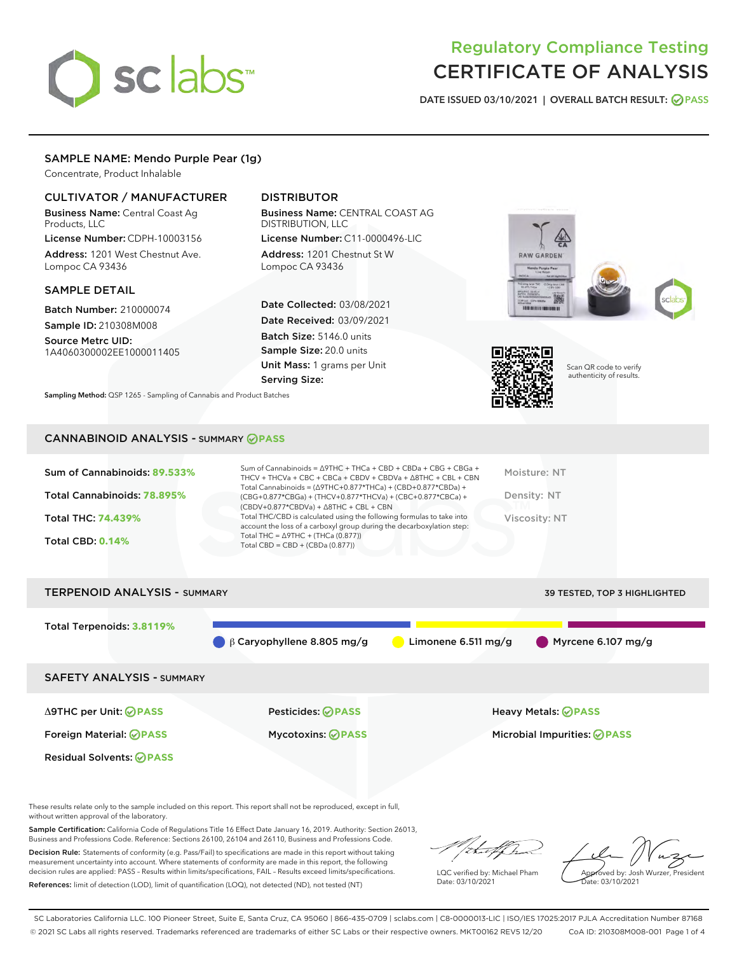# sclabs<sup>\*</sup>

# Regulatory Compliance Testing CERTIFICATE OF ANALYSIS

DATE ISSUED 03/10/2021 | OVERALL BATCH RESULT: @ PASS

# SAMPLE NAME: Mendo Purple Pear (1g)

Concentrate, Product Inhalable

# CULTIVATOR / MANUFACTURER

Business Name: Central Coast Ag Products, LLC

License Number: CDPH-10003156 Address: 1201 West Chestnut Ave. Lompoc CA 93436

#### SAMPLE DETAIL

Batch Number: 210000074 Sample ID: 210308M008

Source Metrc UID: 1A4060300002EE1000011405

# DISTRIBUTOR

Business Name: CENTRAL COAST AG DISTRIBUTION, LLC

License Number: C11-0000496-LIC Address: 1201 Chestnut St W Lompoc CA 93436

Date Collected: 03/08/2021 Date Received: 03/09/2021 Batch Size: 5146.0 units Sample Size: 20.0 units Unit Mass: 1 grams per Unit Serving Size:





Scan QR code to verify authenticity of results.

Sampling Method: QSP 1265 - Sampling of Cannabis and Product Batches

# CANNABINOID ANALYSIS - SUMMARY **PASS**

| Sum of Cannabinoids: 89.533%<br>Total Cannabinoids: 78.895%<br>Total THC: 74.439%<br><b>Total CBD: 0.14%</b> | Sum of Cannabinoids = $\triangle$ 9THC + THCa + CBD + CBDa + CBG + CBGa +<br>THCV + THCVa + CBC + CBCa + CBDV + CBDVa + $\Delta$ 8THC + CBL + CBN<br>Total Cannabinoids = $(\Delta$ 9THC+0.877*THCa) + (CBD+0.877*CBDa) +<br>(CBG+0.877*CBGa) + (THCV+0.877*THCVa) + (CBC+0.877*CBCa) +<br>$(CBDV+0.877*CBDVa) + \Delta 8THC + CBL + CBN$<br>Total THC/CBD is calculated using the following formulas to take into<br>account the loss of a carboxyl group during the decarboxylation step:<br>Total THC = $\triangle$ 9THC + (THCa (0.877))<br>Total CBD = $CBD + (CBDa (0.877))$ | Moisture: NT<br>Density: NT<br>Viscosity: NT |
|--------------------------------------------------------------------------------------------------------------|------------------------------------------------------------------------------------------------------------------------------------------------------------------------------------------------------------------------------------------------------------------------------------------------------------------------------------------------------------------------------------------------------------------------------------------------------------------------------------------------------------------------------------------------------------------------------------|----------------------------------------------|
| <b>TERPENOID ANALYSIS - SUMMARY</b>                                                                          |                                                                                                                                                                                                                                                                                                                                                                                                                                                                                                                                                                                    | 39 TESTED, TOP 3 HIGHLIGHTED                 |
| Total Terpenoids: 3.8119%                                                                                    |                                                                                                                                                                                                                                                                                                                                                                                                                                                                                                                                                                                    |                                              |

β Caryophyllene 8.805 mg/g Limonene 6.511 mg/g Myrcene 6.107 mg/g

SAFETY ANALYSIS - SUMMARY

Δ9THC per Unit: **PASS** Pesticides: **PASS** Heavy Metals: **PASS** Foreign Material: **PASS** Mycotoxins: **PASS** Microbial Impurities: **PASS**

Residual Solvents: **PASS** 

These results relate only to the sample included on this report. This report shall not be reproduced, except in full, without written approval of the laboratory.

Sample Certification: California Code of Regulations Title 16 Effect Date January 16, 2019. Authority: Section 26013, Business and Professions Code. Reference: Sections 26100, 26104 and 26110, Business and Professions Code.

Decision Rule: Statements of conformity (e.g. Pass/Fail) to specifications are made in this report without taking measurement uncertainty into account. Where statements of conformity are made in this report, the following decision rules are applied: PASS – Results within limits/specifications, FAIL – Results exceed limits/specifications. References: limit of detection (LOD), limit of quantification (LOQ), not detected (ND), not tested (NT)

that for

LQC verified by: Michael Pham Date: 03/10/2021

Approved by: Josh Wurzer, President ate: 03/10/2021

SC Laboratories California LLC. 100 Pioneer Street, Suite E, Santa Cruz, CA 95060 | 866-435-0709 | sclabs.com | C8-0000013-LIC | ISO/IES 17025:2017 PJLA Accreditation Number 87168 © 2021 SC Labs all rights reserved. Trademarks referenced are trademarks of either SC Labs or their respective owners. MKT00162 REV5 12/20 CoA ID: 210308M008-001 Page 1 of 4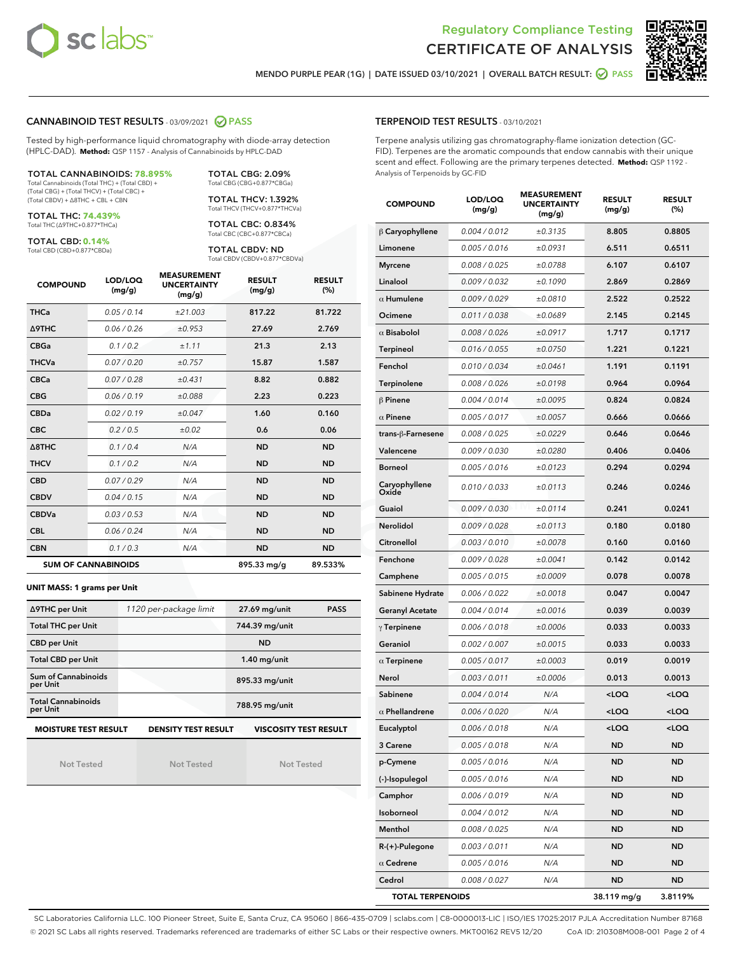



MENDO PURPLE PEAR (1G) | DATE ISSUED 03/10/2021 | OVERALL BATCH RESULT: @ PASS

#### CANNABINOID TEST RESULTS - 03/09/2021 2 PASS

Tested by high-performance liquid chromatography with diode-array detection (HPLC-DAD). **Method:** QSP 1157 - Analysis of Cannabinoids by HPLC-DAD

TOTAL CANNABINOIDS: **78.895%** Total Cannabinoids (Total THC) + (Total CBD) + (Total CBG) + (Total THCV) + (Total CBC) + (Total CBDV) + ∆8THC + CBL + CBN

TOTAL THC: **74.439%** Total THC (∆9THC+0.877\*THCa)

TOTAL CBD: **0.14%**

Total CBD (CBD+0.877\*CBDa)

TOTAL CBG: 2.09% Total CBG (CBG+0.877\*CBGa) TOTAL THCV: 1.392%

Total THCV (THCV+0.877\*THCVa) TOTAL CBC: 0.834% Total CBC (CBC+0.877\*CBCa)

TOTAL CBDV: ND Total CBDV (CBDV+0.877\*CBDVa)

| <b>COMPOUND</b>  | LOD/LOQ<br>(mg/g)          | <b>MEASUREMENT</b><br><b>UNCERTAINTY</b><br>(mg/g) | <b>RESULT</b><br>(mg/g) | <b>RESULT</b><br>(%) |
|------------------|----------------------------|----------------------------------------------------|-------------------------|----------------------|
| <b>THCa</b>      | 0.05/0.14                  | ±21.003                                            | 817.22                  | 81.722               |
| <b>A9THC</b>     | 0.06 / 0.26                | ±0.953                                             | 27.69                   | 2.769                |
| <b>CBGa</b>      | 0.1/0.2                    | ±1.11                                              | 21.3                    | 2.13                 |
| <b>THCVa</b>     | 0.07/0.20                  | ±0.757                                             | 15.87                   | 1.587                |
| <b>CBCa</b>      | 0.07/0.28                  | ±0.431                                             | 8.82                    | 0.882                |
| <b>CBG</b>       | 0.06/0.19                  | ±0.088                                             | 2.23                    | 0.223                |
| <b>CBDa</b>      | 0.02/0.19                  | ±0.047                                             | 1.60                    | 0.160                |
| <b>CBC</b>       | 0.2 / 0.5                  | ±0.02                                              | 0.6                     | 0.06                 |
| $\triangle$ 8THC | 0.1 / 0.4                  | N/A                                                | <b>ND</b>               | <b>ND</b>            |
| <b>THCV</b>      | 0.1/0.2                    | N/A                                                | <b>ND</b>               | <b>ND</b>            |
| <b>CBD</b>       | 0.07/0.29                  | N/A                                                | <b>ND</b>               | <b>ND</b>            |
| <b>CBDV</b>      | 0.04 / 0.15                | N/A                                                | <b>ND</b>               | <b>ND</b>            |
| <b>CBDVa</b>     | 0.03/0.53                  | N/A                                                | <b>ND</b>               | <b>ND</b>            |
| <b>CBL</b>       | 0.06 / 0.24                | N/A                                                | <b>ND</b>               | <b>ND</b>            |
| <b>CBN</b>       | 0.1 / 0.3                  | N/A                                                | <b>ND</b>               | <b>ND</b>            |
|                  | <b>SUM OF CANNABINOIDS</b> |                                                    | 895.33 mg/g             | 89.533%              |

#### **UNIT MASS: 1 grams per Unit**

| ∆9THC per Unit                                                                            | 1120 per-package limit | 27.69 mg/unit<br><b>PASS</b> |  |  |  |
|-------------------------------------------------------------------------------------------|------------------------|------------------------------|--|--|--|
| <b>Total THC per Unit</b>                                                                 |                        | 744.39 mg/unit               |  |  |  |
| <b>CBD per Unit</b>                                                                       |                        | <b>ND</b>                    |  |  |  |
| <b>Total CBD per Unit</b>                                                                 |                        | $1.40$ mg/unit               |  |  |  |
| Sum of Cannabinoids<br>per Unit                                                           |                        | 895.33 mg/unit               |  |  |  |
| <b>Total Cannabinoids</b><br>per Unit                                                     |                        | 788.95 mg/unit               |  |  |  |
| <b>MOISTURE TEST RESULT</b><br><b>VISCOSITY TEST RESULT</b><br><b>DENSITY TEST RESULT</b> |                        |                              |  |  |  |

**MOISTURE TEST RESULT**

Not Tested

Not Tested

Not Tested

#### TERPENOID TEST RESULTS - 03/10/2021

Terpene analysis utilizing gas chromatography-flame ionization detection (GC-FID). Terpenes are the aromatic compounds that endow cannabis with their unique scent and effect. Following are the primary terpenes detected. **Method:** QSP 1192 - Analysis of Terpenoids by GC-FID

| <b>COMPOUND</b>         | LOD/LOQ<br>(mg/g) | <b>MEASUREMENT</b><br><b>UNCERTAINTY</b><br>(mg/g) | <b>RESULT</b><br>(mg/g)                         | <b>RESULT</b><br>$(\%)$ |
|-------------------------|-------------------|----------------------------------------------------|-------------------------------------------------|-------------------------|
| $\beta$ Caryophyllene   | 0.004 / 0.012     | ±0.3135                                            | 8.805                                           | 0.8805                  |
| Limonene                | 0.005 / 0.016     | ±0.0931                                            | 6.511                                           | 0.6511                  |
| <b>Myrcene</b>          | 0.008 / 0.025     | ±0.0788                                            | 6.107                                           | 0.6107                  |
| Linalool                | 0.009 / 0.032     | ±0.1090                                            | 2.869                                           | 0.2869                  |
| $\alpha$ Humulene       | 0.009 / 0.029     | ±0.0810                                            | 2.522                                           | 0.2522                  |
| Ocimene                 | 0.011 / 0.038     | ±0.0689                                            | 2.145                                           | 0.2145                  |
| $\alpha$ Bisabolol      | 0.008 / 0.026     | ±0.0917                                            | 1.717                                           | 0.1717                  |
| Terpineol               | 0.016 / 0.055     | ±0.0750                                            | 1.221                                           | 0.1221                  |
| Fenchol                 | 0.010 / 0.034     | ±0.0461                                            | 1.191                                           | 0.1191                  |
| <b>Terpinolene</b>      | 0.008 / 0.026     | ±0.0198                                            | 0.964                                           | 0.0964                  |
| $\beta$ Pinene          | 0.004 / 0.014     | ±0.0095                                            | 0.824                                           | 0.0824                  |
| $\alpha$ Pinene         | 0.005 / 0.017     | ±0.0057                                            | 0.666                                           | 0.0666                  |
| trans-β-Farnesene       | 0.008 / 0.025     | ±0.0229                                            | 0.646                                           | 0.0646                  |
| Valencene               | 0.009 / 0.030     | ±0.0280                                            | 0.406                                           | 0.0406                  |
| <b>Borneol</b>          | 0.005 / 0.016     | ±0.0123                                            | 0.294                                           | 0.0294                  |
| Caryophyllene<br>Oxide  | 0.010 / 0.033     | ±0.0113                                            | 0.246                                           | 0.0246                  |
| Guaiol                  | 0.009 / 0.030     | ±0.0114                                            | 0.241                                           | 0.0241                  |
| <b>Nerolidol</b>        | 0.009 / 0.028     | ±0.0113                                            | 0.180                                           | 0.0180                  |
| Citronellol             | 0.003 / 0.010     | ±0.0078                                            | 0.160                                           | 0.0160                  |
| Fenchone                | 0.009 / 0.028     | ±0.0041                                            | 0.142                                           | 0.0142                  |
| Camphene                | 0.005 / 0.015     | ±0.0009                                            | 0.078                                           | 0.0078                  |
| Sabinene Hydrate        | 0.006 / 0.022     | ±0.0018                                            | 0.047                                           | 0.0047                  |
| <b>Geranyl Acetate</b>  | 0.004 / 0.014     | ±0.0016                                            | 0.039                                           | 0.0039                  |
| $\gamma$ Terpinene      | 0.006 / 0.018     | ±0.0006                                            | 0.033                                           | 0.0033                  |
| Geraniol                | 0.002 / 0.007     | ±0.0015                                            | 0.033                                           | 0.0033                  |
| $\alpha$ Terpinene      | 0.005 / 0.017     | ±0.0003                                            | 0.019                                           | 0.0019                  |
| Nerol                   | 0.003 / 0.011     | ±0.0006                                            | 0.013                                           | 0.0013                  |
| Sabinene                | 0.004 / 0.014     | N/A                                                | <loq< th=""><th>100</th></loq<>                 | 100                     |
| $\alpha$ Phellandrene   | 0.006 / 0.020     | N/A                                                | <loq< th=""><th><loq< th=""></loq<></th></loq<> | <loq< th=""></loq<>     |
| Eucalyptol              | 0.006 / 0.018     | N/A                                                | <loq< th=""><th><loq< th=""></loq<></th></loq<> | <loq< th=""></loq<>     |
| 3 Carene                | 0.005 / 0.018     | N/A                                                | ND                                              | ND                      |
| p-Cymene                | 0.005 / 0.016     | N/A                                                | ND                                              | ND                      |
| (-)-Isopulegol          | 0.005 / 0.016     | N/A                                                | ND                                              | ND                      |
| Camphor                 | 0.006 / 0.019     | N/A                                                | ND                                              | <b>ND</b>               |
| Isoborneol              | 0.004 / 0.012     | N/A                                                | ND                                              | <b>ND</b>               |
| Menthol                 | 0.008 / 0.025     | N/A                                                | ND                                              | ND                      |
| R-(+)-Pulegone          | 0.003 / 0.011     | N/A                                                | ND                                              | ND                      |
| $\alpha$ Cedrene        | 0.005 / 0.016     | N/A                                                | ND                                              | <b>ND</b>               |
| Cedrol                  | 0.008 / 0.027     | N/A                                                | ND                                              | ND                      |
| <b>TOTAL TERPENOIDS</b> |                   |                                                    | 38.119 mg/g                                     | 3.8119%                 |

SC Laboratories California LLC. 100 Pioneer Street, Suite E, Santa Cruz, CA 95060 | 866-435-0709 | sclabs.com | C8-0000013-LIC | ISO/IES 17025:2017 PJLA Accreditation Number 87168 © 2021 SC Labs all rights reserved. Trademarks referenced are trademarks of either SC Labs or their respective owners. MKT00162 REV5 12/20 CoA ID: 210308M008-001 Page 2 of 4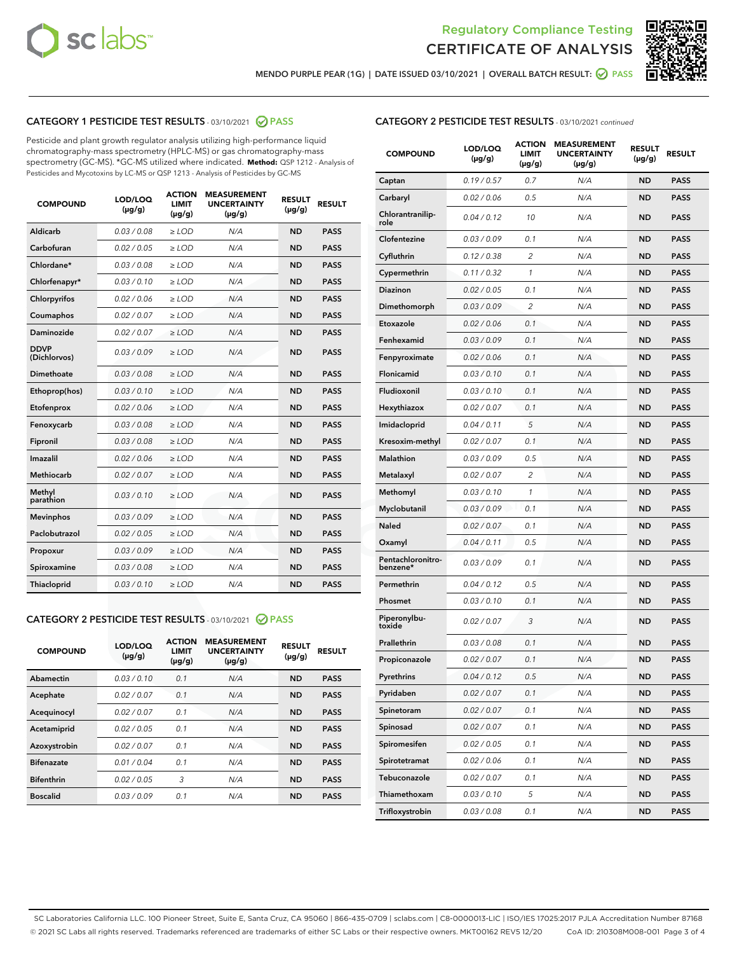



MENDO PURPLE PEAR (1G) | DATE ISSUED 03/10/2021 | OVERALL BATCH RESULT: ☑ PASS

# CATEGORY 1 PESTICIDE TEST RESULTS - 03/10/2021 2 PASS

Pesticide and plant growth regulator analysis utilizing high-performance liquid chromatography-mass spectrometry (HPLC-MS) or gas chromatography-mass spectrometry (GC-MS). \*GC-MS utilized where indicated. **Method:** QSP 1212 - Analysis of Pesticides and Mycotoxins by LC-MS or QSP 1213 - Analysis of Pesticides by GC-MS

| <b>COMPOUND</b>             | LOD/LOQ<br>$(\mu g/g)$ | <b>ACTION</b><br><b>LIMIT</b><br>$(\mu g/g)$ | <b>MEASUREMENT</b><br><b>UNCERTAINTY</b><br>$(\mu g/g)$ | <b>RESULT</b><br>$(\mu g/g)$ | <b>RESULT</b> |
|-----------------------------|------------------------|----------------------------------------------|---------------------------------------------------------|------------------------------|---------------|
| Aldicarb                    | 0.03 / 0.08            | $\ge$ LOD                                    | N/A                                                     | <b>ND</b>                    | <b>PASS</b>   |
| Carbofuran                  | 0.02 / 0.05            | $\ge$ LOD                                    | N/A                                                     | <b>ND</b>                    | <b>PASS</b>   |
| Chlordane*                  | 0.03 / 0.08            | $\ge$ LOD                                    | N/A                                                     | <b>ND</b>                    | <b>PASS</b>   |
| Chlorfenapyr*               | 0.03/0.10              | $\ge$ LOD                                    | N/A                                                     | <b>ND</b>                    | <b>PASS</b>   |
| Chlorpyrifos                | 0.02 / 0.06            | $\ge$ LOD                                    | N/A                                                     | <b>ND</b>                    | <b>PASS</b>   |
| Coumaphos                   | 0.02 / 0.07            | $\ge$ LOD                                    | N/A                                                     | <b>ND</b>                    | <b>PASS</b>   |
| Daminozide                  | 0.02 / 0.07            | $\ge$ LOD                                    | N/A                                                     | <b>ND</b>                    | <b>PASS</b>   |
| <b>DDVP</b><br>(Dichlorvos) | 0.03/0.09              | $\ge$ LOD                                    | N/A                                                     | <b>ND</b>                    | <b>PASS</b>   |
| <b>Dimethoate</b>           | 0.03 / 0.08            | $\ge$ LOD                                    | N/A                                                     | <b>ND</b>                    | <b>PASS</b>   |
| Ethoprop(hos)               | 0.03/0.10              | $\ge$ LOD                                    | N/A                                                     | <b>ND</b>                    | <b>PASS</b>   |
| Etofenprox                  | 0.02 / 0.06            | $>$ LOD                                      | N/A                                                     | <b>ND</b>                    | <b>PASS</b>   |
| Fenoxycarb                  | 0.03 / 0.08            | $\ge$ LOD                                    | N/A                                                     | <b>ND</b>                    | <b>PASS</b>   |
| Fipronil                    | 0.03 / 0.08            | $>$ LOD                                      | N/A                                                     | <b>ND</b>                    | <b>PASS</b>   |
| Imazalil                    | 0.02 / 0.06            | $\ge$ LOD                                    | N/A                                                     | <b>ND</b>                    | <b>PASS</b>   |
| Methiocarb                  | 0.02 / 0.07            | $\ge$ LOD                                    | N/A                                                     | <b>ND</b>                    | <b>PASS</b>   |
| Methyl<br>parathion         | 0.03/0.10              | $\ge$ LOD                                    | N/A                                                     | <b>ND</b>                    | <b>PASS</b>   |
| <b>Mevinphos</b>            | 0.03/0.09              | $\ge$ LOD                                    | N/A                                                     | <b>ND</b>                    | <b>PASS</b>   |
| Paclobutrazol               | 0.02 / 0.05            | $\ge$ LOD                                    | N/A                                                     | <b>ND</b>                    | <b>PASS</b>   |
| Propoxur                    | 0.03/0.09              | $\ge$ LOD                                    | N/A                                                     | <b>ND</b>                    | <b>PASS</b>   |
| Spiroxamine                 | 0.03 / 0.08            | $\ge$ LOD                                    | N/A                                                     | <b>ND</b>                    | <b>PASS</b>   |
| <b>Thiacloprid</b>          | 0.03/0.10              | $\ge$ LOD                                    | N/A                                                     | <b>ND</b>                    | <b>PASS</b>   |

# CATEGORY 2 PESTICIDE TEST RESULTS - 03/10/2021 @ PASS

| <b>COMPOUND</b>   | LOD/LOQ<br>$(\mu g/g)$ | <b>ACTION</b><br><b>LIMIT</b><br>$(\mu g/g)$ | <b>MEASUREMENT</b><br><b>UNCERTAINTY</b><br>$(\mu g/g)$ | <b>RESULT</b><br>$(\mu g/g)$ | <b>RESULT</b> |
|-------------------|------------------------|----------------------------------------------|---------------------------------------------------------|------------------------------|---------------|
| Abamectin         | 0.03/0.10              | 0.1                                          | N/A                                                     | <b>ND</b>                    | <b>PASS</b>   |
| Acephate          | 0.02/0.07              | 0.1                                          | N/A                                                     | <b>ND</b>                    | <b>PASS</b>   |
| Acequinocyl       | 0.02/0.07              | 0.1                                          | N/A                                                     | <b>ND</b>                    | <b>PASS</b>   |
| Acetamiprid       | 0.02/0.05              | 0.1                                          | N/A                                                     | <b>ND</b>                    | <b>PASS</b>   |
| Azoxystrobin      | 0.02/0.07              | 0.1                                          | N/A                                                     | <b>ND</b>                    | <b>PASS</b>   |
| <b>Bifenazate</b> | 0.01/0.04              | 0.1                                          | N/A                                                     | <b>ND</b>                    | <b>PASS</b>   |
| <b>Bifenthrin</b> | 0.02/0.05              | 3                                            | N/A                                                     | <b>ND</b>                    | <b>PASS</b>   |
| <b>Boscalid</b>   | 0.03/0.09              | 0.1                                          | N/A                                                     | <b>ND</b>                    | <b>PASS</b>   |

| <b>CATEGORY 2 PESTICIDE TEST RESULTS</b> - 03/10/2021 continued |
|-----------------------------------------------------------------|
|-----------------------------------------------------------------|

| <b>COMPOUND</b>               | LOD/LOQ<br>$(\mu g/g)$ | <b>ACTION</b><br>LIMIT<br>$(\mu g/g)$ | <b>MEASUREMENT</b><br><b>UNCERTAINTY</b><br>(µg/g) | <b>RESULT</b><br>(µg/g) | <b>RESULT</b> |
|-------------------------------|------------------------|---------------------------------------|----------------------------------------------------|-------------------------|---------------|
| Captan                        | 0.19/0.57              | 0.7                                   | N/A                                                | ND                      | <b>PASS</b>   |
| Carbaryl                      | 0.02 / 0.06            | 0.5                                   | N/A                                                | ND                      | <b>PASS</b>   |
| Chlorantranilip-<br>role      | 0.04 / 0.12            | 10                                    | N/A                                                | ND                      | <b>PASS</b>   |
| Clofentezine                  | 0.03 / 0.09            | 0.1                                   | N/A                                                | ND                      | <b>PASS</b>   |
| Cyfluthrin                    | 0.12 / 0.38            | 2                                     | N/A                                                | ND                      | <b>PASS</b>   |
| Cypermethrin                  | 0.11 / 0.32            | 1                                     | N/A                                                | ND                      | <b>PASS</b>   |
| Diazinon                      | 0.02 / 0.05            | 0.1                                   | N/A                                                | ND                      | <b>PASS</b>   |
| Dimethomorph                  | 0.03 / 0.09            | 2                                     | N/A                                                | ND                      | <b>PASS</b>   |
| Etoxazole                     | 0.02 / 0.06            | 0.1                                   | N/A                                                | ND                      | <b>PASS</b>   |
| Fenhexamid                    | 0.03 / 0.09            | 0.1                                   | N/A                                                | ND                      | <b>PASS</b>   |
| Fenpyroximate                 | 0.02 / 0.06            | 0.1                                   | N/A                                                | ND                      | <b>PASS</b>   |
| Flonicamid                    | 0.03 / 0.10            | 0.1                                   | N/A                                                | ND                      | <b>PASS</b>   |
| Fludioxonil                   | 0.03 / 0.10            | 0.1                                   | N/A                                                | ND                      | <b>PASS</b>   |
| Hexythiazox                   | 0.02 / 0.07            | 0.1                                   | N/A                                                | ND                      | <b>PASS</b>   |
| Imidacloprid                  | 0.04 / 0.11            | 5                                     | N/A                                                | ND                      | <b>PASS</b>   |
| Kresoxim-methyl               | 0.02 / 0.07            | 0.1                                   | N/A                                                | ND                      | <b>PASS</b>   |
| <b>Malathion</b>              | 0.03 / 0.09            | 0.5                                   | N/A                                                | ND                      | <b>PASS</b>   |
| Metalaxyl                     | 0.02 / 0.07            | 2                                     | N/A                                                | ND                      | <b>PASS</b>   |
| Methomyl                      | 0.03 / 0.10            | 1                                     | N/A                                                | ND                      | <b>PASS</b>   |
| Myclobutanil                  | 0.03/0.09              | 0.1                                   | N/A                                                | ND                      | <b>PASS</b>   |
| <b>Naled</b>                  | 0.02 / 0.07            | 0.1                                   | N/A                                                | ND                      | <b>PASS</b>   |
| Oxamyl                        | 0.04 / 0.11            | 0.5                                   | N/A                                                | ND                      | <b>PASS</b>   |
| Pentachloronitro-<br>benzene* | 0.03 / 0.09            | 0.1                                   | N/A                                                | ND                      | <b>PASS</b>   |
| Permethrin                    | 0.04 / 0.12            | 0.5                                   | N/A                                                | ND                      | <b>PASS</b>   |
| Phosmet                       | 0.03 / 0.10            | 0.1                                   | N/A                                                | ND                      | PASS          |
| Piperonylbu-<br>toxide        | 0.02 / 0.07            | 3                                     | N/A                                                | ND                      | <b>PASS</b>   |
| Prallethrin                   | 0.03 / 0.08            | 0.1                                   | N/A                                                | ND                      | <b>PASS</b>   |
| Propiconazole                 | 0.02 / 0.07            | 0.1                                   | N/A                                                | ND                      | <b>PASS</b>   |
| Pyrethrins                    | 0.04 / 0.12            | 0.5                                   | N/A                                                | ND                      | PASS          |
| Pyridaben                     | 0.02 / 0.07            | 0.1                                   | N/A                                                | ND                      | <b>PASS</b>   |
| Spinetoram                    | 0.02 / 0.07            | 0.1                                   | N/A                                                | <b>ND</b>               | <b>PASS</b>   |
| Spinosad                      | 0.02 / 0.07            | 0.1                                   | N/A                                                | ND                      | <b>PASS</b>   |
| Spiromesifen                  | 0.02 / 0.05            | 0.1                                   | N/A                                                | ND                      | <b>PASS</b>   |
| Spirotetramat                 | 0.02 / 0.06            | 0.1                                   | N/A                                                | ND                      | <b>PASS</b>   |
| Tebuconazole                  | 0.02 / 0.07            | 0.1                                   | N/A                                                | ND                      | <b>PASS</b>   |
| Thiamethoxam                  | 0.03 / 0.10            | 5                                     | N/A                                                | ND                      | <b>PASS</b>   |
| Trifloxystrobin               | 0.03 / 0.08            | 0.1                                   | N/A                                                | ND                      | <b>PASS</b>   |

SC Laboratories California LLC. 100 Pioneer Street, Suite E, Santa Cruz, CA 95060 | 866-435-0709 | sclabs.com | C8-0000013-LIC | ISO/IES 17025:2017 PJLA Accreditation Number 87168 © 2021 SC Labs all rights reserved. Trademarks referenced are trademarks of either SC Labs or their respective owners. MKT00162 REV5 12/20 CoA ID: 210308M008-001 Page 3 of 4